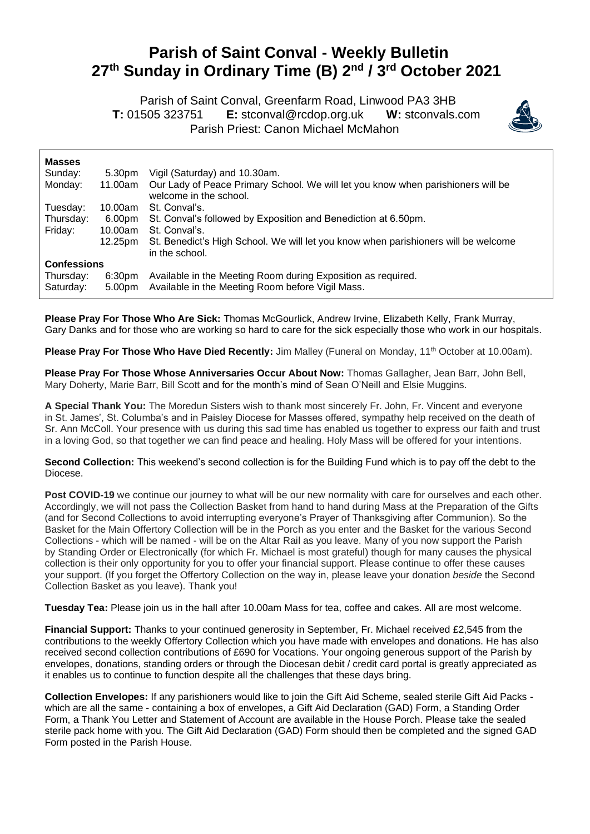## **Parish of Saint Conval - Weekly Bulletin 27 th Sunday in Ordinary Time (B) 2 nd / 3 rd October 2021**

 Parish of Saint Conval, Greenfarm Road, Linwood PA3 3HB **T:** 01505 323751 **E:** [stconval@rcdop.org.uk](mailto:stconval@rcdop.org.uk) **W:** stconvals.com Parish Priest: Canon Michael McMahon



| <b>Masses</b>          |                              |                                                                                                                  |
|------------------------|------------------------------|------------------------------------------------------------------------------------------------------------------|
| Sunday:                | 5.30pm                       | Vigil (Saturday) and 10.30am.                                                                                    |
| Monday:                | 11.00am                      | Our Lady of Peace Primary School. We will let you know when parishioners will be<br>welcome in the school.       |
| Tuesday:               | 10.00am                      | St. Conval's.                                                                                                    |
| Thursday:              | 6.00pm                       | St. Conval's followed by Exposition and Benediction at 6.50pm.                                                   |
| Friday:                | 10.00am                      | St. Conval's.                                                                                                    |
|                        | 12.25pm                      | St. Benedict's High School. We will let you know when parishioners will be welcome<br>in the school.             |
| <b>Confessions</b>     |                              |                                                                                                                  |
| Thursday:<br>Saturday: | 6:30 <sub>pm</sub><br>5.00pm | Available in the Meeting Room during Exposition as required.<br>Available in the Meeting Room before Vigil Mass. |

**Please Pray For Those Who Are Sick:** Thomas McGourlick, Andrew Irvine, Elizabeth Kelly, Frank Murray, Gary Danks and for those who are working so hard to care for the sick especially those who work in our hospitals.

Please Pray For Those Who Have Died Recently: Jim Malley (Funeral on Monday, 11<sup>th</sup> October at 10.00am).

**Please Pray For Those Whose Anniversaries Occur About Now:** Thomas Gallagher, Jean Barr, John Bell, Mary Doherty, Marie Barr, Bill Scott and for the month's mind of Sean O'Neill and Elsie Muggins.

**A Special Thank You:** The Moredun Sisters wish to thank most sincerely Fr. John, Fr. Vincent and everyone in St. James', St. Columba's and in Paisley Diocese for Masses offered, sympathy help received on the death of Sr. Ann McColl. Your presence with us during this sad time has enabled us together to express our faith and trust in a loving God, so that together we can find peace and healing. Holy Mass will be offered for your intentions.

**Second Collection:** This weekend's second collection is for the Building Fund which is to pay off the debt to the Diocese.

**Post COVID-19** we continue our journey to what will be our new normality with care for ourselves and each other. Accordingly, we will not pass the Collection Basket from hand to hand during Mass at the Preparation of the Gifts (and for Second Collections to avoid interrupting everyone's Prayer of Thanksgiving after Communion). So the Basket for the Main Offertory Collection will be in the Porch as you enter and the Basket for the various Second Collections - which will be named - will be on the Altar Rail as you leave. Many of you now support the Parish by Standing Order or Electronically (for which Fr. Michael is most grateful) though for many causes the physical collection is their only opportunity for you to offer your financial support. Please continue to offer these causes your support. (If you forget the Offertory Collection on the way in, please leave your donation *beside* the Second Collection Basket as you leave). Thank you!

**Tuesday Tea:** Please join us in the hall after 10.00am Mass for tea, coffee and cakes. All are most welcome.

**Financial Support:** Thanks to your continued generosity in September, Fr. Michael received £2,545 from the contributions to the weekly Offertory Collection which you have made with envelopes and donations. He has also received second collection contributions of £690 for Vocations. Your ongoing generous support of the Parish by envelopes, donations, standing orders or through the Diocesan debit / credit card portal is greatly appreciated as it enables us to continue to function despite all the challenges that these days bring.

**Collection Envelopes:** If any parishioners would like to join the Gift Aid Scheme, sealed sterile Gift Aid Packs which are all the same - containing a box of envelopes, a Gift Aid Declaration (GAD) Form, a Standing Order Form, a Thank You Letter and Statement of Account are available in the House Porch. Please take the sealed sterile pack home with you. The Gift Aid Declaration (GAD) Form should then be completed and the signed GAD Form posted in the Parish House.